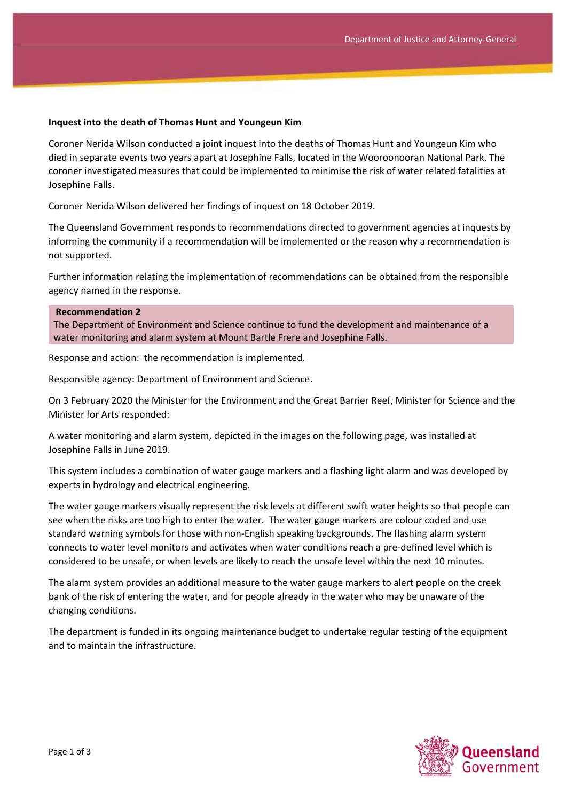## **Inquest into the death of Thomas Hunt and Youngeun Kim**

Coroner Nerida Wilson conducted a joint inquest into the deaths of Thomas Hunt and Youngeun Kim who died in separate events two years apart at Josephine Falls, located in the Wooroonooran National Park. The coroner investigated measures that could be implemented to minimise the risk of water related fatalities at Josephine Falls.

Coroner Nerida Wilson delivered her findings of inquest on 18 October 2019.

The Queensland Government responds to recommendations directed to government agencies at inquests by informing the community if a recommendation will be implemented or the reason why a recommendation is not supported.

Further information relating the implementation of recommendations can be obtained from the responsible agency named in the response.

## **Recommendation 2**

The Department of Environment and Science continue to fund the development and maintenance of a water monitoring and alarm system at Mount Bartle Frere and Josephine Falls.

Response and action: the recommendation is implemented.

Responsible agency: Department of Environment and Science.

On 3 February 2020 the Minister for the Environment and the Great Barrier Reef, Minister for Science and the Minister for Arts responded:

A water monitoring and alarm system, depicted in the images on the following page, was installed at Josephine Falls in June 2019.

This system includes a combination of water gauge markers and a flashing light alarm and was developed by experts in hydrology and electrical engineering.

The water gauge markers visually represent the risk levels at different swift water heights so that people can see when the risks are too high to enter the water. The water gauge markers are colour coded and use standard warning symbols for those with non-English speaking backgrounds. The flashing alarm system connects to water level monitors and activates when water conditions reach a pre-defined level which is considered to be unsafe, or when levels are likely to reach the unsafe level within the next 10 minutes.

The alarm system provides an additional measure to the water gauge markers to alert people on the creek bank of the risk of entering the water, and for people already in the water who may be unaware of the changing conditions.

The department is funded in its ongoing maintenance budget to undertake regular testing of the equipment and to maintain the infrastructure.

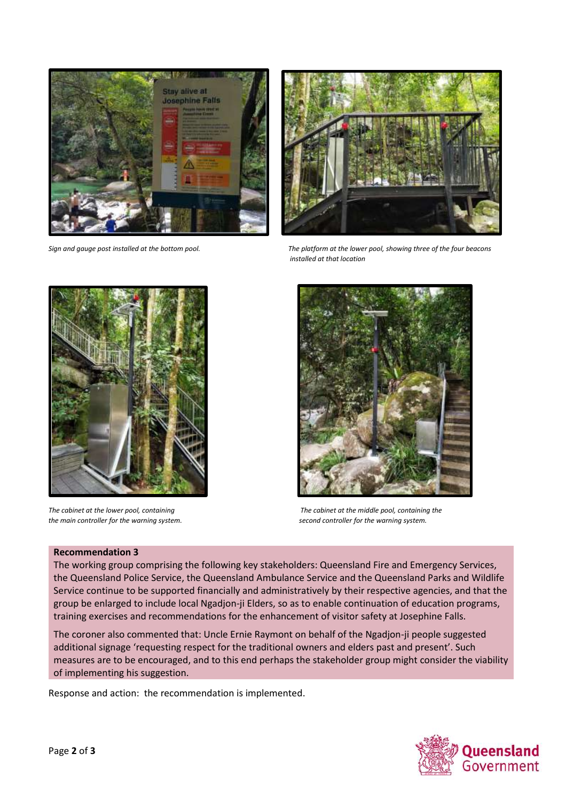



*Sign and gauge post installed at the bottom pool. The platform at the lower pool, showing three of the four beacons installed at that location*





*The cabinet at the lower pool, containing The cabinet at the middle pool, containing the the main controller for the warning system. second controller for the warning system.*

## **Recommendation 3**

The working group comprising the following key stakeholders: Queensland Fire and Emergency Services, the Queensland Police Service, the Queensland Ambulance Service and the Queensland Parks and Wildlife Service continue to be supported financially and administratively by their respective agencies, and that the group be enlarged to include local Ngadjon-ji Elders, so as to enable continuation of education programs, training exercises and recommendations for the enhancement of visitor safety at Josephine Falls.

The coroner also commented that: Uncle Ernie Raymont on behalf of the Ngadjon-ji people suggested additional signage 'requesting respect for the traditional owners and elders past and present'. Such measures are to be encouraged, and to this end perhaps the stakeholder group might consider the viability of implementing his suggestion.

Response and action: the recommendation is implemented.